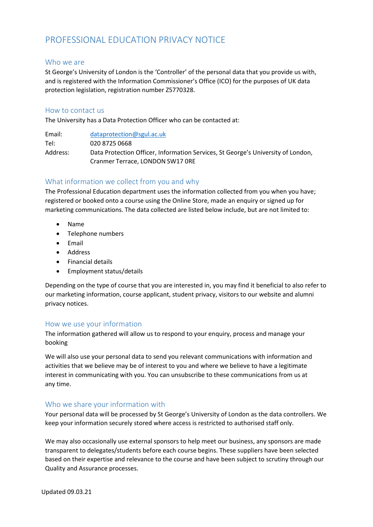# PROFESSIONAL EDUCATION PRIVACY NOTICE

#### Who we are

St George's University of London is the 'Controller' of the personal data that you provide us with, and is registered with the Information Commissioner's Office (ICO) for the purposes of UK data protection legislation, registration number Z5770328.

#### How to contact us

The University has a Data Protection Officer who can be contacted at:

Email: [dataprotection@sgul.ac.uk](mailto:dataprotection@sgul.ac.uk) Tel: 020 8725 0668 Address: Data Protection Officer, Information Services, St George's University of London, Cranmer Terrace, LONDON SW17 0RE

# What information we collect from you and why

The Professional Education department uses the information collected from you when you have; registered or booked onto a course using the Online Store, made an enquiry or signed up for marketing communications. The data collected are listed below include, but are not limited to:

- Name
- Telephone numbers
- Email
- Address
- Financial details
- Employment status/details

Depending on the type of course that you are interested in, you may find it beneficial to also refer to our marketing information, course applicant, student privacy, visitors to our website and alumni privacy notices.

## How we use your information

The information gathered will allow us to respond to your enquiry, process and manage your booking

We will also use your personal data to send you relevant communications with information and activities that we believe may be of interest to you and where we believe to have a legitimate interest in communicating with you. You can unsubscribe to these communications from us at any time.

## Who we share your information with

Your personal data will be processed by St George's University of London as the data controllers. We keep your information securely stored where access is restricted to authorised staff only.

We may also occasionally use external sponsors to help meet our business, any sponsors are made transparent to delegates/students before each course begins. These suppliers have been selected based on their expertise and relevance to the course and have been subject to scrutiny through our Quality and Assurance processes.